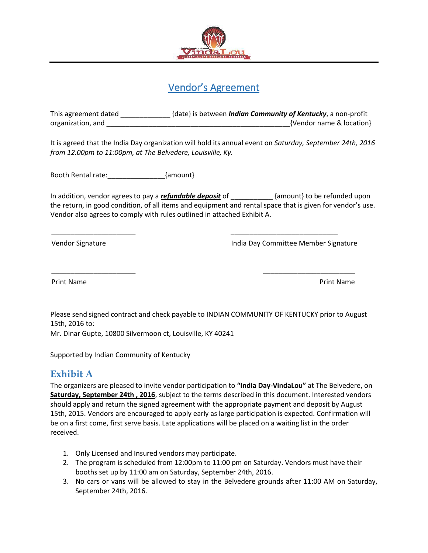

# Vendor's Agreement

This agreement dated \_\_\_\_\_\_\_\_\_\_\_\_\_ {date} is between *Indian Community of Kentucky*, a non-profit organization, and \_\_\_\_\_\_\_\_\_\_\_\_\_\_\_\_\_\_\_\_\_\_\_\_\_\_\_\_\_\_\_\_\_\_\_\_\_\_\_\_\_\_\_\_\_\_\_\_{Vendor name & location}

It is agreed that the India Day organization will hold its annual event on *Saturday, September 24th, 2016 from 12.00pm to 11:00pm, at The Belvedere, Louisville, Ky.*

Booth Rental rate:  $\{amount\}$ 

In addition, vendor agrees to pay a *refundable deposit* of \_\_\_\_\_\_\_\_\_\_\_ {amount} to be refunded upon the return, in good condition, of all items and equipment and rental space that is given for vendor's use. Vendor also agrees to comply with rules outlined in attached Exhibit A.

\_\_\_\_\_\_\_\_\_\_\_\_\_\_\_\_\_\_\_\_\_\_ \_\_\_\_\_\_\_\_\_\_\_\_\_\_\_\_\_\_\_\_\_\_\_\_\_\_\_\_

Vendor Signature **India Day Committee Member Signature** India Day Committee Member Signature

Print Name **Print Name** 

Please send signed contract and check payable to INDIAN COMMUNITY OF KENTUCKY prior to August 15th, 2016 to:

\_\_\_\_\_\_\_\_\_\_\_\_\_\_\_\_\_\_\_\_\_\_ \_\_\_\_\_\_\_\_\_\_\_\_\_\_\_\_\_\_\_\_\_\_\_\_

Mr. Dinar Gupte, 10800 Silvermoon ct, Louisville, KY 40241

Supported by Indian Community of Kentucky

# **Exhibit A**

The organizers are pleased to invite vendor participation to **"India Day-VindaLou"** at The Belvedere, on **Saturday, September 24th , 2016**, subject to the terms described in this document. Interested vendors should apply and return the signed agreement with the appropriate payment and deposit by August 15th, 2015. Vendors are encouraged to apply early as large participation is expected. Confirmation will be on a first come, first serve basis. Late applications will be placed on a waiting list in the order received.

- 1. Only Licensed and Insured vendors may participate.
- 2. The program is scheduled from 12:00pm to 11:00 pm on Saturday. Vendors must have their booths set up by 11:00 am on Saturday, September 24th, 2016.
- 3. No cars or vans will be allowed to stay in the Belvedere grounds after 11:00 AM on Saturday, September 24th, 2016.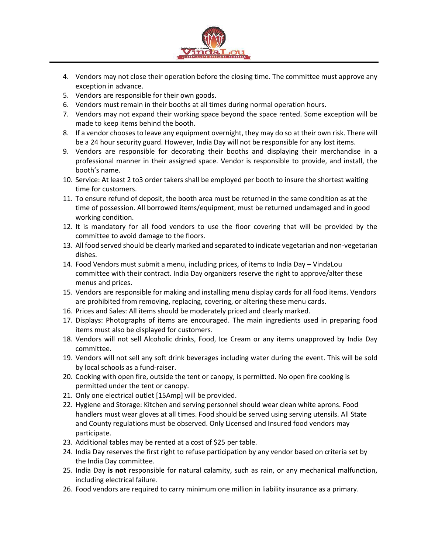

- 4. Vendors may not close their operation before the closing time. The committee must approve any exception in advance.
- 5. Vendors are responsible for their own goods.
- 6. Vendors must remain in their booths at all times during normal operation hours.
- 7. Vendors may not expand their working space beyond the space rented. Some exception will be made to keep items behind the booth.
- 8. If a vendor chooses to leave any equipment overnight, they may do so at their own risk. There will be a 24 hour security guard. However, India Day will not be responsible for any lost items.
- 9. Vendors are responsible for decorating their booths and displaying their merchandise in a professional manner in their assigned space. Vendor is responsible to provide, and install, the booth's name.
- 10. Service: At least 2 to3 order takers shall be employed per booth to insure the shortest waiting time for customers.
- 11. To ensure refund of deposit, the booth area must be returned in the same condition as at the time of possession. All borrowed items/equipment, must be returned undamaged and in good working condition.
- 12. It is mandatory for all food vendors to use the floor covering that will be provided by the committee to avoid damage to the floors.
- 13. All food served should be clearly marked and separated to indicate vegetarian and non-vegetarian dishes.
- 14. Food Vendors must submit a menu, including prices, of items to India Day VindaLou committee with their contract. India Day organizers reserve the right to approve/alter these menus and prices.
- 15. Vendors are responsible for making and installing menu display cards for all food items. Vendors are prohibited from removing, replacing, covering, or altering these menu cards.
- 16. Prices and Sales: All items should be moderately priced and clearly marked.
- 17. Displays: Photographs of items are encouraged. The main ingredients used in preparing food items must also be displayed for customers.
- 18. Vendors will not sell Alcoholic drinks, Food, Ice Cream or any items unapproved by India Day committee.
- 19. Vendors will not sell any soft drink beverages including water during the event. This will be sold by local schools as a fund-raiser.
- 20. Cooking with open fire, outside the tent or canopy, is permitted. No open fire cooking is permitted under the tent or canopy.
- 21. Only one electrical outlet [15Amp] will be provided.
- 22. Hygiene and Storage: Kitchen and serving personnel should wear clean white aprons. Food handlers must wear gloves at all times. Food should be served using serving utensils. All State and County regulations must be observed. Only Licensed and Insured food vendors may participate.
- 23. Additional tables may be rented at a cost of \$25 per table.
- 24. India Day reserves the first right to refuse participation by any vendor based on criteria set by the India Day committee.
- 25. India Day **is not** responsible for natural calamity, such as rain, or any mechanical malfunction, including electrical failure.
- 26. Food vendors are required to carry minimum one million in liability insurance as a primary.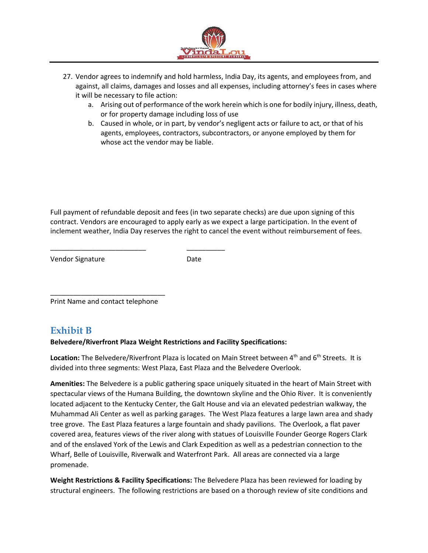

- 27. Vendor agrees to indemnify and hold harmless, India Day, its agents, and employees from, and against, all claims, damages and losses and all expenses, including attorney's fees in cases where it will be necessary to file action:
	- a. Arising out of performance of the work herein which is one for bodily injury, illness, death, or for property damage including loss of use
	- b. Caused in whole, or in part, by vendor's negligent acts or failure to act, or that of his agents, employees, contractors, subcontractors, or anyone employed by them for whose act the vendor may be liable.

Full payment of refundable deposit and fees (in two separate checks) are due upon signing of this contract. Vendors are encouraged to apply early as we expect a large participation. In the event of inclement weather, India Day reserves the right to cancel the event without reimbursement of fees.

Vendor Signature **Date** 

\_\_\_\_\_\_\_\_\_\_\_\_\_\_\_\_\_\_\_\_\_\_\_\_\_\_\_\_\_\_ Print Name and contact telephone

\_\_\_\_\_\_\_\_\_\_\_\_\_\_\_\_\_\_\_\_\_\_\_\_\_ \_\_\_\_\_\_\_\_\_\_

# **Exhibit B**

### **Belvedere/Riverfront Plaza Weight Restrictions and Facility Specifications:**

Location: The Belvedere/Riverfront Plaza is located on Main Street between 4<sup>th</sup> and 6<sup>th</sup> Streets. It is divided into three segments: West Plaza, East Plaza and the Belvedere Overlook.

**Amenities:** The Belvedere is a public gathering space uniquely situated in the heart of Main Street with spectacular views of the Humana Building, the downtown skyline and the Ohio River. It is conveniently located adjacent to the Kentucky Center, the Galt House and via an elevated pedestrian walkway, the Muhammad Ali Center as well as parking garages. The West Plaza features a large lawn area and shady tree grove. The East Plaza features a large fountain and shady pavilions. The Overlook, a flat paver covered area, features views of the river along with statues of Louisville Founder George Rogers Clark and of the enslaved York of the Lewis and Clark Expedition as well as a pedestrian connection to the Wharf, Belle of Louisville, Riverwalk and Waterfront Park. All areas are connected via a large promenade.

**Weight Restrictions & Facility Specifications:** The Belvedere Plaza has been reviewed for loading by structural engineers. The following restrictions are based on a thorough review of site conditions and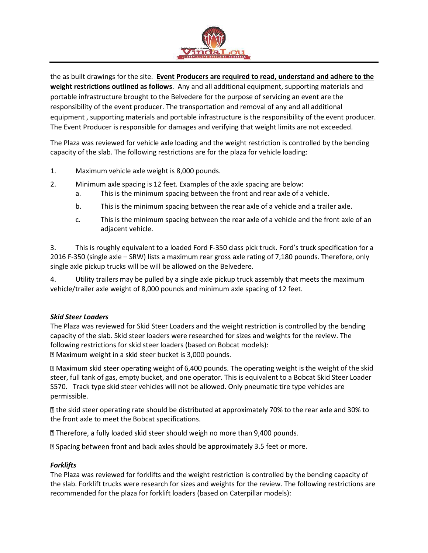

the as built drawings for the site. **Event Producers are required to read, understand and adhere to the weight restrictions outlined as follows**. Any and all additional equipment, supporting materials and portable infrastructure brought to the Belvedere for the purpose of servicing an event are the responsibility of the event producer. The transportation and removal of any and all additional equipment , supporting materials and portable infrastructure is the responsibility of the event producer. The Event Producer is responsible for damages and verifying that weight limits are not exceeded.

The Plaza was reviewed for vehicle axle loading and the weight restriction is controlled by the bending capacity of the slab. The following restrictions are for the plaza for vehicle loading:

- 1. Maximum vehicle axle weight is 8,000 pounds.
- 2. Minimum axle spacing is 12 feet. Examples of the axle spacing are below:
	- a. This is the minimum spacing between the front and rear axle of a vehicle.
	- b. This is the minimum spacing between the rear axle of a vehicle and a trailer axle.
	- c. This is the minimum spacing between the rear axle of a vehicle and the front axle of an adjacent vehicle.

3. This is roughly equivalent to a loaded Ford F-350 class pick truck. Ford's truck specification for a 2016 F-350 (single axle – SRW) lists a maximum rear gross axle rating of 7,180 pounds. Therefore, only single axle pickup trucks will be will be allowed on the Belvedere.

4. Utility trailers may be pulled by a single axle pickup truck assembly that meets the maximum vehicle/trailer axle weight of 8,000 pounds and minimum axle spacing of 12 feet.

#### *Skid Steer Loaders*

The Plaza was reviewed for Skid Steer Loaders and the weight restriction is controlled by the bending capacity of the slab. Skid steer loaders were researched for sizes and weights for the review. The following restrictions for skid steer loaders (based on Bobcat models): sqrt2 Maximum weight in a skid steer bucket is 3,000 pounds.

I Maximum skid steer operating weight of 6,400 pounds. The operating weight is the weight of the skid steer, full tank of gas, empty bucket, and one operator. This is equivalent to a Bobcat Skid Steer Loader S570. Track type skid steer vehicles will not be allowed. Only pneumatic tire type vehicles are permissible.

the skid steer operating rate should be distributed at approximately 70% to the rear axle and 30% to the front axle to meet the Bobcat specifications.

sqrt2 Therefore, a fully loaded skid steer should weigh no more than 9,400 pounds.

**D** Spacing between front and back axles should be approximately 3.5 feet or more.

### *Forklifts*

The Plaza was reviewed for forklifts and the weight restriction is controlled by the bending capacity of the slab. Forklift trucks were research for sizes and weights for the review. The following restrictions are recommended for the plaza for forklift loaders (based on Caterpillar models):